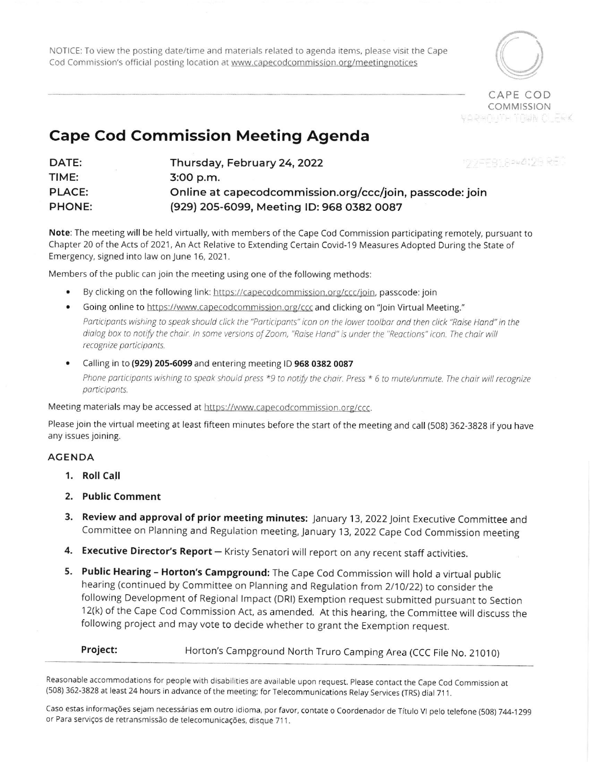NOTICE: To view the posting date/time and materials related to agenda items, please visit the Cape Cod Commission's official posting location at www.capecodcommission.org/meetingnotices



CAPE COD **COMMISSION** Adamunt Time Cleak

## Cape Cod Commission Meeting Agenda

| DATE:         | 1777-FB1,82*4123 SEL<br>Thursday, February 24, 2022      |
|---------------|----------------------------------------------------------|
| TIME:         | $3:00$ p.m.                                              |
| <b>PLACE:</b> | Online at capecodcommission.org/ccc/join, passcode: join |
| <b>PHONE:</b> | (929) 205-6099, Meeting ID: 968 0382 0087                |

Note: The meeting will be held virtually, with members of the Cape Cod Commission participating remotely, pursuant to Chapter 20 of the Acts of 2021, An Act Relative to Extending Certain Covid-19 Measures Adopted During the State of Emergency, signed into law on June 16, 2021.

Members of the public can join the meeting using one of the following methods:

- . By clicking on the following link: lrttps://capecodcommission.orglccclioin. passcode:join
- Going online to https://www.capecodcommission.org/ccc and clicking on "Join Virtual Meeting." Participants wishing to speak should click the "Participants" icon on the lower toolbar and then click "Raise Hand" in the dialog box to notify the chair. In some versions of Zoom, "Raise Hand" is under the "Reactions" icon. The chair will recognize participants.
- . Calling in to (929) 205-6099 and entering meeting lD 968 0382 0087 Phone participants wishing to speak should press  $*9$  to notify the chair. Press  $*6$  to mute/unmute. The chair will recognize participants.

Meeting materials may be accessed at https://www.capecodcommission.org/ccc.

Please join the virtual meeting at least fifteen minutes before the start of the meeting and call (508) 362-3828 if you have any issues joining.

## AGENDA

- 1. Roll Call
- 2. Public Comment
- 3. Review and approval of prior meeting minutes: January 13, 2022 Joint Executive Committee and Committee on Planning and Regulation meeting, January 13, 2022 Cape Cod Commission meeting
- 4. Executive Director's Report Kristy Senatori will report on any recent staff activities.
- 5. Public Hearing Horton's Campground: The Cape Cod Commission will hold a virtual public hearing (continued by Committee on Planning and Regulation from 2/10/22) to consider the following Development of Regional lmpact (DRl) Exemption request submitted pursuant to Section 12(k) of the Cape Cod Commission Act, as amended. At this hearing, the Committee will discuss the following project and may vote to decide whether to grant the Exemption request.

Horton's Campground North Truro Camping Area (CCC File No. 21010) Project:

Reasonable accommodations for people with disabilities are available upon request. Please contact the Cape Cod Commission at (508) 362-3828 at least 24 hours in advance of the meeting; for Telecommunications Relay Services (TRS) dial 711.

Caso estas informações sejam necessárias em outro idioma, por favor, contate o Coordenador de Título VI pelo telefone (508) 744-1299 or Para serviços de retransmissão de telecomunicações, disque 711.